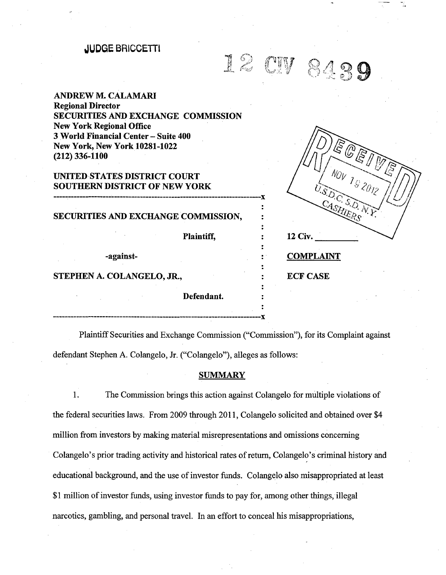# **.JUDGE BRICCETTl**

# 12 CW 8439

**ANDREW M. CALAMARI Regional Director SECURITIES AND EXCHANGE COMMISSION New York Regional Office 3 World Financial Center- Suite 400 New York, New York 10281-1022 (212) 336-1100** 

# **UNITED STATES DISTRICT COURT SOUTHERN DISTRICT OF NEW YORK**

**SECURITIES AND EXCHANGE COMMISSION,**  Plaintiff,

------------------------------------------------------------------------x

------------------------------------------------------------------------x

-against-

## **STEPHEN A. COLANGELO, JR., THEORY OF STEPHEN A. COLANGELO, JR., THEORY OF STEPHEN A.**

**Defendant.** 

| EQEI<br>S<br>S<br>$N_{UV}$ 1 <sub>92012</sub><br>U.S.D.C. S.D.N.Y. |
|--------------------------------------------------------------------|
| 12 Civ.                                                            |
| <b>MPLAINT</b>                                                     |

-.

Plaintiff Securities and Exchange Commission ("Commission"), for its Complaint against defendant Stephen A. Colangelo, Jr. ("Colangelo"), alleges as follows:

## **SUMMARY**

1. The Commission brings this action against Colangelo for multiple violations of the federal securities laws. From 2009 through 2011, Colangelo solicited and obtained over \$4 million from investors by making material misrepresentations and omissions concerning Colangelo's prior trading activity and historical rates of return, Colangelo's criminal history and educational background, and the use of investor funds. Colangelo also misappropriated at least \$1 million of investor funds, using investor funds to pay for, among other things, illegal narcotics, gambling, and personal travel. In an effort to conceal his misappropriations,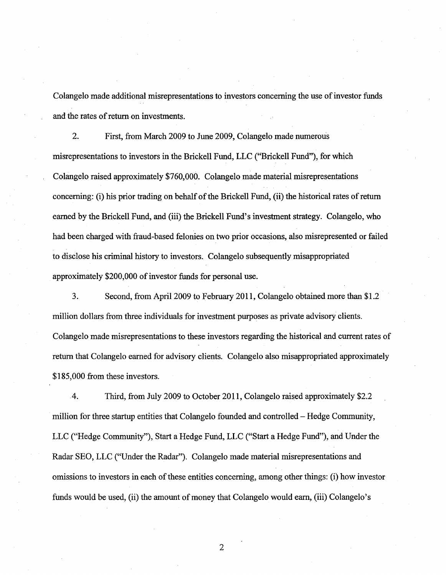Colangelo made additional misrepresentations to investors concerning the use of investor funds and the rates of return on investments.

2. First, from March 2009 to June 2009, Colangelo made numerous misrepresentations to investors in the Brickell Fund, LLC ("Brickell Fund"), for which Colangelo raised approximately \$760,000. Colangelo made material misrepresentations concerning: (i) his prior trading on behalf of the Brickell Fund, (ii) the historical rates of return earned by the Brickell Fund, and (iii) the Brickell Fund's investment strategy. Colangelo, who had been charged with fraud-based felonies on two prior occasions, also misrepresented or failed to disclose his criminal history to investors. Colangelo subsequently misappropriated approximately \$200,000 of investor funds for personal use.

3. Second, from April2009 to February 2011, Colangelo obtained more than \$1.2 million dollars from three individuals for investment purposes as private advisory clients. Colangelo made misrepresentations to these investors regarding the historical and current rates of return that Colangelo earned for advisory clients. Colangelo also misappropriated approximately \$185,000 from these investors.

4. Third, from July 2009 to October 2011, Colangelo raised approximately \$2.2 million for three startup entities that Colangelo founded and controlled- Hedge Community, LLC ("Hedge Community"), Start a Hedge Fund, LLC ("Start a Hedge Fund"), and Under the Radar SEO, LLC ("Under the Radar"). Colangelo made material misrepresentations and omissions to investors in each of these entities concerning, among other things: (i) how investor funds would be used, (ii) the amount of money that Colangelo would earn, (iii) Colangelo's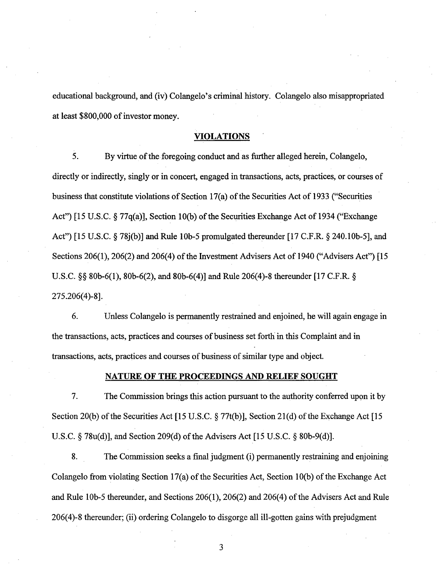educational background, and (iv) Colangelo's criminal history. Colangelo also misappropriated at least \$800,000 of investor money.

## VIOLATIONS

5. By virtue of the foregoing conduct and as further alleged herein, Colangelo, directly or indirectly, singly or in concert, engaged in transactions, acts, practices, or courses of business that constitute violations of Section  $17(a)$  of the Securities Act of 1933 ("Securities Act") [15 U.S.C. § 77q(a)], Section 10(b) of the Securities Exchange Act of 1934 ("Exchange" Act") [15 U.S.C. § 78j(b)] and Rule 10b-5 promulgated thereunder [17 C.F.R. § 240.10b-5], and Sections  $206(1)$ ,  $206(2)$  and  $206(4)$  of the Investment Advisers Act of 1940 ("Advisers Act") [15 U.S.C. §§ 80b-6(1), 80b-6(2), and 80b-6(4)] and Rule 206(4)-8 thereunder [17 C.F.R. § 275.206(4)-8].

6. Unless Colangelo is permanently restrained and enjoined, he will again engage in the transactions, acts, practices and courses of business set forth in this Complaint and in transactions, acts, practices and courses of business of similar type and object.

# NATURE OF THE PROCEEDINGS AND RELIEF SOUGHT

7. The Commission brings this action pursuant to the authority conferred upon it by Section 20(b) of the Securities Act [15 U.S.C.  $\S 77t(b)$ ], Section 21(d) of the Exchange Act [15 U.S.C.  $\S$  78u(d)], and Section 209(d) of the Advisers Act [15 U.S.C.  $\S$  80b-9(d)].

8. The Commission seeks a final judgment (i) permanently restraining and enjoining Colangelo from violating Section  $17(a)$  of the Securities Act, Section 10(b) of the Exchange Act and Rule 10b-5 thereunder, and Sections 206(1), 206(2) and 206(4) of the Advisers Act and Rule 206( 4)-8 thereunder; (ii) ordering Colangelo to disgorge all ill-gotten gains with prejudgment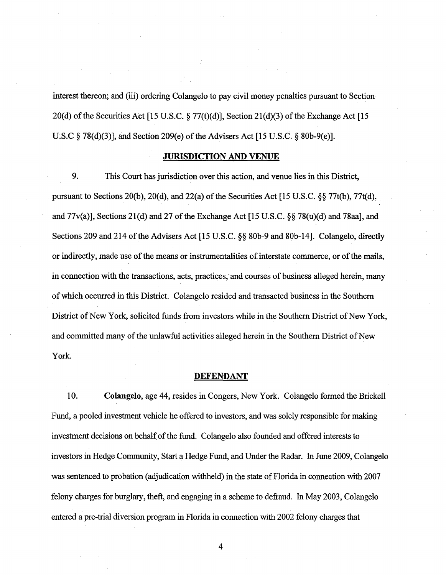interest thereon; and (iii) ordering Colangelo to pay civil money penalties pursuant to Section 20(d) of the Securities Act [15 U.S.C.  $\S 77(t)(d)$ ], Section 21(d)(3) of the Exchange Act [15 U.S.C  $\S$  78(d)(3)], and Section 209(e) of the Advisers Act [15 U.S.C.  $\S$  80b-9(e)].

# **JURISDICTION AND VENUE**

9. This Court has jurisdiction over this action, and venue lies in this District, pursuant to Sections 20(b), 20(d), and 22(a) of the Securities Act [15 U.S.C. §§ 77t(b), 77t(d), and  $77v(a)$ ], Sections 21(d) and 27 of the Exchange Act [15 U.S.C. §§ 78(u)(d) and 78aa], and Sections 209 and 214 of the Advisers Act [15 U.S.C. §§ 80b-9 and 80b-14]. Colangelo, directly or indirectly, made use of the means or instrumentalities of interstate commerce, or of the mails, in connection with the transactions, acts, practices, and courses of business alleged herein, many ofwhich occurred in this District. Colangelo resided and transacted business in the Southern District of New York, solicited funds from investors while in the Southern District of New York, and committed many of the unlawful activities alleged herein in the Southern District of New York.

#### **DEFENDANT**

10. **Colangelo,** age 44, resides in Congers, New York. Colangelo formed the Brickell Fund, a pooled investment vehicle he offered to investors, and was solely responsible for making investment decisions on behalf of the fund. Colangelo also founded and offered interests to investors in Hedge Community, Start a Hedge Fund, and Under the Radar. In June 2009, Colangelo was sentenced to probation (adjudication withheld) in the state of Florida in connection with 2007 felony charges for burglary, theft, and engaging in a scheme to defraud. In May 2003, Colangelo entered a pre-trial diversion program in Florida in connection with 2002 felony charges that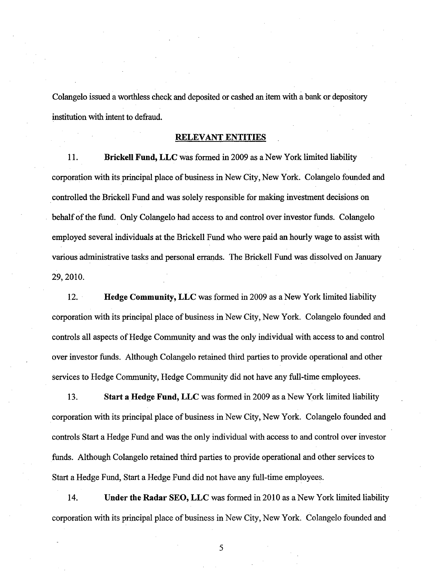Colangelo issued a worthless check and deposited or cashed an item with a bank or depository institution with intent to defraud.

# **RELEVANT ENTITIES**

**11. Brickell Fund, LLC** was formed in 2009 as a New York limited liability corporation with its principal place of business in New City, New York. Colangelo founded and . controlled the Brickell Fund and was solely responsible for making investment decisions on behalf of the fund. Only Colangelo had access to and control over investor funds. Colangelo employed several individuals at the Brickell Fund who were paid an hourly wage to assist with various administrative tasks and personal errands. The Brickell Fund was dissolved on January 29,2010.

12. **Hedge Community, LLC** was formed in 2009 as a New York limited liability corporation with its principal place of business in New City, New York. Colangelo founded and controls all aspects of Hedge Community and was the only individual with access to and control over investor funds. Although Colangelo retained third parties to provide operational and other services to Hedge Community, Hedge Community did not have any full-time employees.

13. **Start a Hedge Fund, LLC** was formed in 2009 as a New York limited liability corporation with its principal place of business in New City, New York. Colangelo founded and controls Start a Hedge Fund and was the only individual with access to and control over investor funds. Although Colangelo retained third parties to provide operational and other services to Start a Hedge Fund, Start a Hedge Fund did not have any full-time employees.

14. **Under the Radar SEO, LLC** was formed in 2010 as a New York limited liability corporation with its principal place of business in New City, New York. Colangelo founded and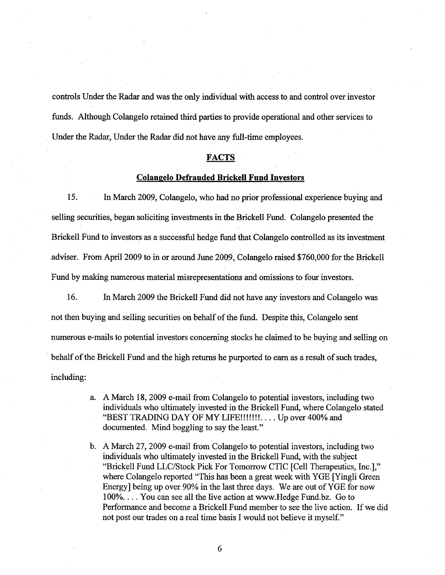controls Under the Radar and was the only individual with access to and control over investor funds. Although Colangelo retained third parties to provide operational and other services to Under the Radar, Under the Radar did not have any full-time employees.

#### **FACTS**

#### **Colangelo Defrauded Brickell Fund Investors**

15. In March 2009, Colangelo, who had no prior professional experience buying and selling securities, began soliciting investments in the Brickell Fund. Colangelo presented the Brickell Fund to investors as a successful hedge fund that Colangelo controlled as its investment adviser. From April2009 to in or around June 2009, Colangelo raised \$760,000 for the Brickell Fund by making numerous material misrepresentations and omissions to four investors.

16. In March 2009 the Brickell Fund did not have any investors and Colangelo was not then buying and selling securities on behalf of the fund. Despite this, Colangelo sent numerous e-mails to potential investors concerning stocks he claimed to be buying and selling on behalf of the Brickell Fund and the high returns he purported to earn as a result of such trades, including:

- a. A March 18, 2009 e-mail from Colangelo to potential investors, including two individuals who ultimately invested in the Brickell Fund, where Colangelo stated "BEST TRADING DAY OF MY LIFE!!!!!!!.... Up over 400% and documented. Mind boggling to say the least."
- b. A March 27, 2009 e-mail from Colangelo to potential investors, including two individuals who ultimately invested in the Brickell Fund, with the subject "Brickell Fund LLC/Stock Pick For Tomorrow CTIC [Cell Therapeutics, Inc.]," where Colangelo reported "This has been a great week with YGE [Yingli Green Energy] being up over 90% in the last three days. We are out of YGE for now 100%.... You can see all the live action at www.Hedge Fund.bz. Go to Performance and become a Brickell Fund member to see the live action. If we did not post our trades on a real time basis I would not believe it myself."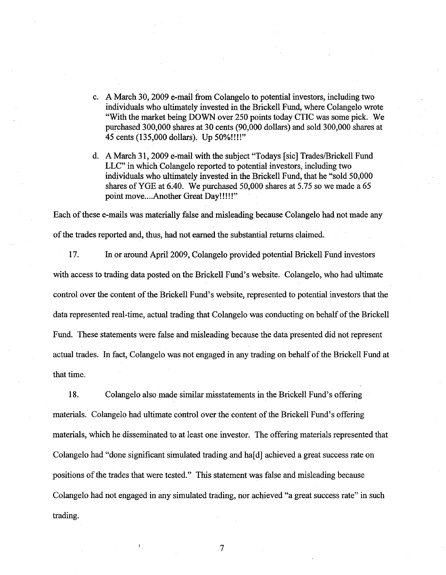- c. A March 30, 2009 e-mail from Colangelo to potential investors, including two individuals who ultimately invested in the Brickell Fund, where Colangelo wrote "With the market being DOWN over 250 points today CTIC was some pick. We purchased 300,000 shares at 30 cents (90,000 dollars) and sold 300,000 shares at 45 cents (135,000 dollars). Up 50%!!!!"
- d. A March 31, 2009 e-mail with the subject "Todays [sic] Trades/Brickell Fund LLC" in which Colangelo reported to potential investors, including two individuals who ultimately invested in the Brickell Fund, that he "sold 50,000 shares of YGE at  $6.40$ . We purchased  $50,000$  shares at  $5.75$  so we made a  $65$ point move....Another Great Day!!!!!"

Each of these e-mails was materially false and misleading because Colangelo had not made any of the trades reported and, thus, had not earned the substantial returns claimed.

17. In or around April2009, Colangelo provided potential Brickell Fund investors with access to trading data posted on the Brickell Fund's website. Colangelo, who had ultimate control over the content of the Brickell Fund's website, represented to potential investors that the data represented real-time, actual trading that Colangelo was conducting on behalf of the Brickell Fund. These statements were false and misleading because the data presented did not represent actual trades. In fact, Colangelo was not engaged in any trading on behalf of the Brickell Fund at that time.

18. Colangelo also made similar misstatements in the Brickell Fund's offering materials. Colangelo had ultimate control over the content of the Brickell Fund's offering materials, which he disseminated to at least one investor. The offering materials represented that Colangelo had "done significant simulated trading and ha<sup>[d]</sup> achieved a great success rate on positions of the trades that were tested." This statement was false and misleading because Colangelo had not engaged in any simulated trading, nor achieved "a great success rate" in such trading.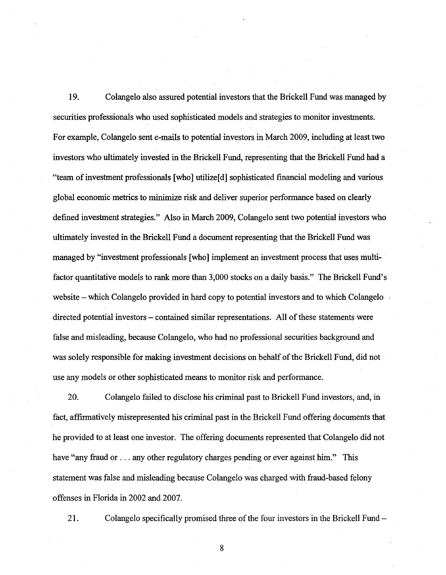19. Colangelo also assured potential investors that the Brickell Fund was managed by securities professionals who used sophisticated models and strategies to monitor investments. For example, Colangelo sent e-mails to potential investors in March 2009, including at least two investors who ultimately invested in the Brickell Fund, representing that the Brickell Fund had a "team of investment professionals [who] utilize[d] sophisticated financial modeling and various global economic metrics to minimize risk and deliver superior performance based on clearly defined investment strategies." Also in March 2009, Colangelo sent two potential investors who ultimately invested in the Brickell Fund a document representing that the Brickell Fund was managed by "investment professionals [who] implement an investment process that uses multifactor quantitative models to rank more than 3,000 stocks on a daily basis." The Brickell Fund's website – which Colangelo provided in hard copy to potential investors and to which Colangelo directed potential investors – contained similar representations. All of these statements were false and misleading, because Colangelo, who had no professional securities background and was solely responsible for making investment decisions on behalf of the Brickell Fund, did not use any models or other sophisticated means to monitor risk and performance.

20. Colangelo failed to disclose his criminal past to Brickell Fund investors, and, in fact, affirmatively misrepresented his criminal past in the Brickell Fund offering documents that he provided to at least one investor. The offering documents represented that Colangelo did not have "any fraud or . . . any other regulatory charges pending or ever against him." This statement was false and misleading because Colangelo was charged with fraud-based felony offenses in Florida in 2002 and 2007.

21. Colangelo specifically promised three of the four investors in the Brickell Fund –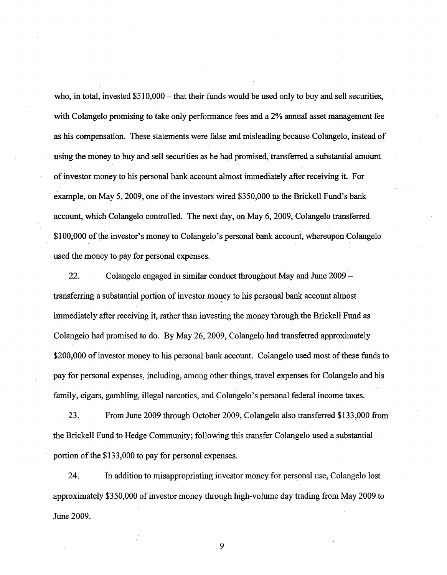who, in total, invested  $$510,000 -$  that their funds would be used only to buy and sell securities, with Colangelo promising to take only performance fees and a 2% annual asset management fee as his compensation. These statements were false and misleading because Colangelo, instead of using the money to buy and sell securities as he had promised, transferred a substantial amount ofinvestor money to his personal bank account almost immediately after receiving it. For example, on May 5, 2009, one of the investors wired \$350,000 to the Brickell Fund's bank account, which Colangelo controlled. The next day, on May 6, 2009, Colangelo transferred \$100,000 ofthe investor's money to Colangelo's personal bank account, whereupon Colangelo used the money to pay for personal expenses.

22. Colangelo engaged in similar conduct throughout May and June 2009 transferring a substantial portion of investor money to his personal bank account almost immediately after receiving it, rather than investing the money through the Brickell Fund as Colangelo had promised to do. By May 26, 2009, Colangelo had transferred approximately \$200,000 of investor money to his personal bank account. Colangelo used most of these funds to pay for personal expenses, including, among other things, travel expenses for Colangelo and his family, cigars, gambling, illegal narcotics, and Colangelo's personal federal income taxes.

23. From June 2009 through October 2009, Colangelo also transferred \$133,000 from the Brickell Fund to Hedge Community; following this transfer Colangelo used a substantial portion of the \$133,000 to pay for personal expenses.

24. In addition to misappropriating investor money for personal use, Colangelo lost approximately \$350,000 of investor money through high-volume day trading from May 2009 to June 2009.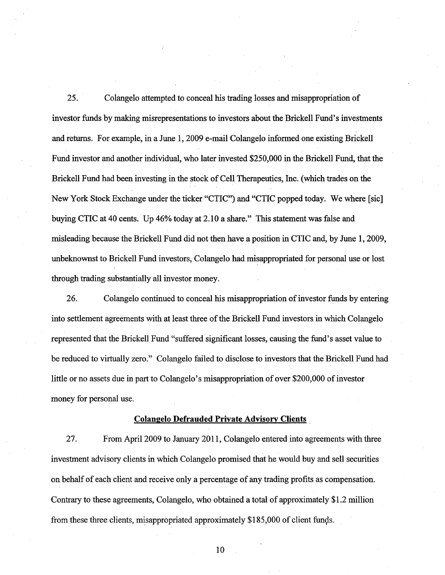25. Colangelo attempted to conceal his trading losses and misappropriation of investor funds by making misrepresentations to investors about the Brickell Fund's investments and returns. For example, in a June 1, 2009 e-mail Colangelo informed one existing Brickell Fund investor and another individual, who later invested \$250,000 in the Brickell Fund, that the Brickell Fund had been investing in the stock of Cell Therapeutics, Inc. (which trades on the New York Stock Exchange under the ticker "CTIC") and "CTIC popped today. We where [sic] buying CTIC at 40 cents. Up 46% today at 2.10 a share." This statement was false and misleading because the Brickell Fund did not then have a position in CTIC and, by June 1, 2009, unbeknownst to Brickell Fund investors, Colangelo had misappropriated for personal use or lost through trading substantially all investor money.

26. Colangelo continued to conceal his misappropriation ofinvestor funds by entering into settlement agreements with at least three of the Brickell Fund investors in which Colangelo represented that the Brickell Fund "suffered significant losses, causing the fund's asset value to be reduced to virtually zero." Colangelo failed to disclose to investors that the Brickell Fund had little or no assets due in part to Colangelo's misappropriation of over \$200,000 of investor money for personal use.

# **Colangelo Defrauded Private Advisory Clients**

27. From April2009 to January 2011, Colangelo entered into agreements with three investment advisory clients in which Colangelo promised that he would buy and sell securities on behalf of each client and receive only a percentage of any trading profits as compensation. Contrary to these agreements, Colangelo, who obtained a total of approximately \$1.2 million from these three clients, misappropriated approximately \$185,000 of client fungs.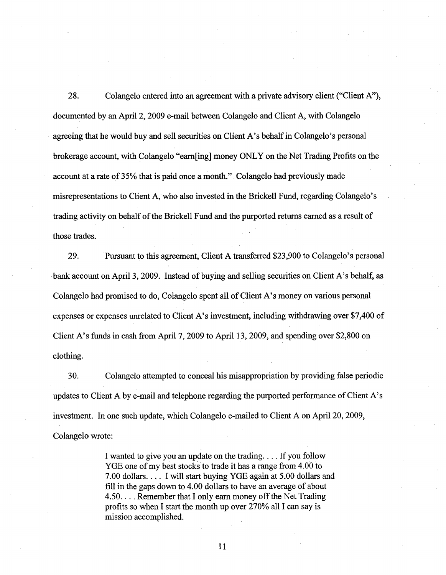28. Colangelo entered into an agreement with a private advisory client ("Client A"), documented by an April 2, 2009 e-mail between Colangelo and Client A, with Colangelo agreeing that he would buy and sell securities on Client A's behalf in Colangelo's personal brokerage account, with Colangelo "earn[ing] money ONLY on the Net Trading Profits on the account at a rate of 35% that is paid once a month.". Colangelo had previously made misrepresentations to Client A, who also invested in the Brickell Fund, regarding Colangelo's trading activity on behalf of the Brickell Fund and the purported returns earned as a result of those trades.

29. Pursuant to this agreement, Client A transferred \$23,900 to Colangelo's personal bank account on April 3, 2009. Instead of buying and selling securities on Client A's behalf, as Colangelo had promised to do, Colangelo spent all of Client A's money on various personal expenses or expenses unrelated to Client A's investment, including withdrawing over \$7,400 of Client A's funds in cash from April 7, 2009 to April 13, 2009, and spending over \$2,800 on clothing.

30. Colangelo attempted to conceal his misappropriation by providing false periodic updates to Client A by e-mail and telephone regarding the purported performance of Client A's investment. In one such update, which Colangelo e-mailed to Client A on April 20, 2009, Colangelo wrote:

> I wanted to give you an update on the trading .... If you follow YGE one of my best stocks to trade it has a range from 4.00 to 7.00 dollars.... I will start buying YGE again at 5.00 dollars and fill in the gaps down to 4.00 dollars to have an average of about 4.50.... Remember that I only earn money off the Net Trading profits so when I start the month up over 270% all I can say is mission accomplished.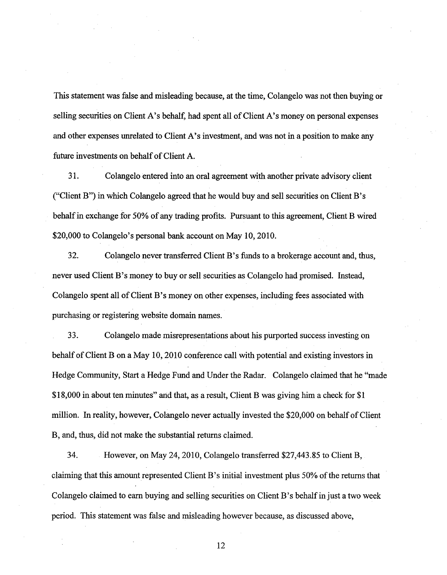This statement was false and misleading because, at the time, Colangelo was not then buying or selling securities on Client A's behalf, had spent all of Client A's money on personal expenses and other expenses unrelated to Client A's investment, and was not in a position to make any future investments on behalf of Client A.

31. Colangelo entered into an oral agreement with another private advisory client ("Client B") in which Colangelo agreed that he would buy and sell securities on Client B's behalf in exchange for 50% of any trading profits. Pursuant to this agreement, Client B wired \$20,000 to Colangelo's personal bank account on May 10, 2010.

32. Colangelo never transferred Client B's funds to a brokerage account and, thus, never used Client B's money to buy or sell securities as Colangelo had promised. Instead, Colangelo spent all ofClient B's money on other expenses, including fees associated with purchasing or registering website domain names.

33. Colangelo made misrepresentations about his purported success investing on behalf of Client B on a May 10, 2010 conference call with potential and existing investors in Hedge Community, Start a Hedge Fund and Under the Radar. Colangelo claimed that he "made \$18,000 in about ten minutes" and that, as a result, Client B was giving him a check for \$1 million. In reality, however, Colangelo never actually invested the \$20,000 on behalf of Client B, and, thus, did not make the substantial returns claimed.

34. However, on May 24, 2010, Colangelo transferred \$27,443.85 to Client B, claiming that this amount represented Client B's initial investment plus 50% of the returns that Colangelo claimed to earn buying and selling securities on Client B's behalf in just a two week period. This statement was false and misleading however because, as discussed above,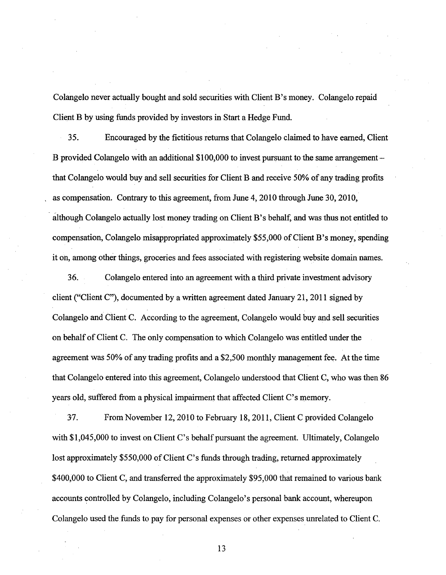Colangelo never actually bought and sold securities with Client B's money. Colangelo repaid Client B by using funds provided by investors in Start a Hedge Fund.

35. Encouraged by the fictitious returns that Colangelo claimed to have earned, Client B provided Colangelo with an additional \$100,000 to invest pursuant to the same arrangement – that Colangelo would buy and sell securities for Client B and receive 50% of any trading profits as compensation. Contrary to this agreement, from June 4, 2010 through June 30,2010, although Colangelo actually lost money trading on Client B 's behalf, and was thus not entitled to compensation, Colangelo misappropriated approximately \$55,000 of Client B's money, spending it oh, among other things, groceries and fees associated with registering website domain names.

36. Colangelo entered into an agreement with a third private investment advisory client ("Client C"), documented by a written agreement dated January 21, 2011 signed by Colangelo and Client C. According to the agreement, Colangelo would buy and sell securities on behalf of Client C. The only compensation to which Colangelo was entitled under the agreement was 50% of any trading profits and a \$2,500 monthly management fee. At the time that Colangelo entered into this agreement, Colangelo understood that Client C, who was then 86 years old, suffered from a physical impairment that affected Client C's memory.

37. From November 12, 2010 to February 18, 2011, Client C provided Colangelo with \$1,045,000 to invest on Client C's behalf pursuant the agreement. Ultimately, Colangelo lost approximately \$550,000 of Client C's funds through trading, returned approximately \$400,000 to Client C, and transferred the approximately \$95,000 that remained to various bank accounts controlled by Colangelo, including Colangelo's personal bank account, whereupon Colangelo used the funds to pay for personal expenses or other expenses unrelated to Client C.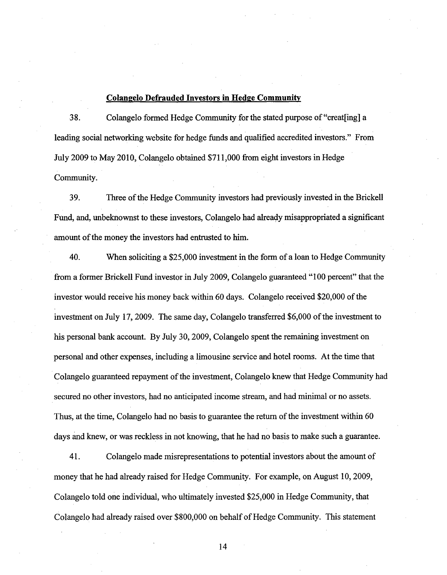#### **Colangelo Defrauded Investors in Hedge Community**

3 8. Colangelo formed Hedge Community for the stated purpose of "creat[ing] a leading social networking website for hedge funds and qualified accredited investors." From July 2009 to May 2010, Colangelo obtained \$711,000 from eight investors in Hedge Community.

39. Three of the Hedge Community investors had previously invested in the Brickell Fund, and, unbeknownst to these investors, Colangelo had already misappropriated a significant amount of the money the investors had entrusted to him.

40. When soliciting a \$25,000 investment in the form of a loan to Hedge Community from a former Brickell Fund investor in July 2009, Colangelo guaranteed "100 percent" that the investor would receive his money back within 60 days. Colangelo received \$20,000 of the investment on July 17, 2009. The same day, Colangelo transferred \$6,000 of the investment to his personal bank account. By July 30,2009, Colangelo spent the remaining investment on personal and other expenses, including a limousine service and hotel rooms. At the time that Colangelo guaranteed repayment of the investment, Colangelo knew that Hedge Community had secured no other investors, had no anticipated income stream, and had minimal or no assets. Thus, at the time, Colangelo had no basis to guarantee the return of the investment within 60 days and knew, or was reckless in not knowing, that he had no basis to make such a guarantee.

41. Colangelo made misrepresentations to potential investors about the amount of money that he had already raised for Hedge Community. For example, on August 10, 2009, Colangelo told one individual, who ultimately invested \$25,000 in Hedge Community, that Colangelo had already raised over \$800,000 on behalf of Hedge Community. This statement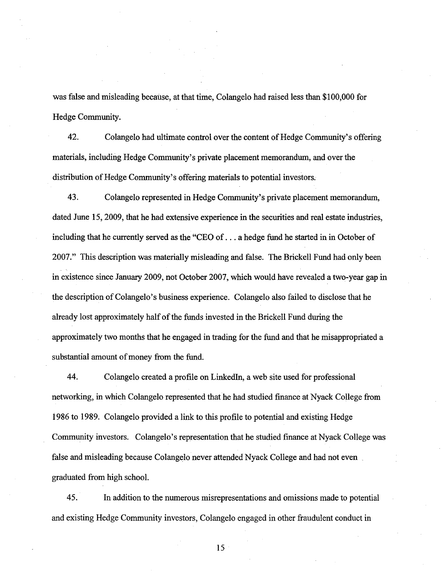was false and misleading because, at that time, Colangelo had raised less than \$100,000 for Hedge Community.

42. Colangelo had ultimate control over the content of Hedge Community's offering materials, including Hedge Community's private placement memorandum, and over the distribution of Hedge Community's offering materials to potential investors.

43. Colangelo represented in Hedge Community's private placement memorandum, dated June 15, 2009, that he had extensive experience in the securities and real estate industries, including that he currently served as the "CEO of ... a hedge fund he started in in October of 2007." This description was materially misleading and false. The Brickell Fund had only been in existence since January 2009, not October 2007, which would have revealed a two-year gap in the description of Colangelo's business experience. Colangelo also failed to disclose that he already lost approximately half of the funds invested in the Brickell Fund during the approximately two months that he engaged in trading for the fund and that he misappropriated a substantial amount of money from the fund.

44. Colangelo created a profile on Linkedln, a web site used for professional networking, in which Colangelo represented that he had studied finance at Nyack College from 1986 to 1989. Colangelo provided a link to this profile to potential and existing Hedge Community investors. Colangelo's representation that he studied finance at Nyack College was false and misleading because Colangelo never attended Nyack College and had not even graduated from high school.

45. In addition to the numerous misrepresentations and omissions made to potential and existing Hedge Community investors, Colangelo engaged in other fraudulent conduct in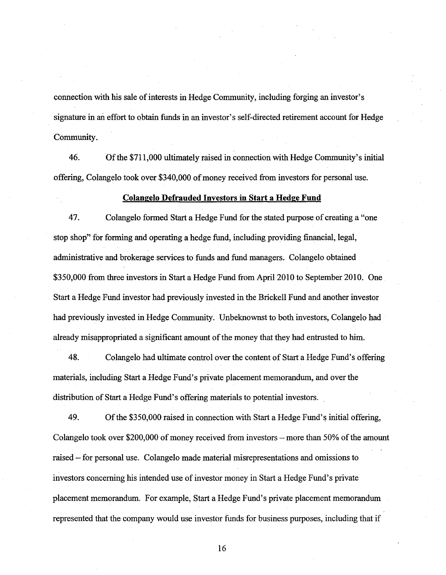connection with his sale of interests in Hedge Community, including forging an investor's signature in an effort to obtain funds in an investor's self-directed retirement account for Hedge Community.

46. Ofthe \$711,000 ultimately raised in connection with Hedge Community's initial offering, Colangelo took over \$340,000 ofmoney received from investors for personal use.

#### **Colangelo Defrauded Investors in Start a Hedge Fund**

4 7. Colangelo formed Start a Hedge Fund for the stated purpose of creating a "one stop shop" for forming and operating a hedge fund, including providing financial, legal, administrative and brokerage services to funds and fund managers. Colangelo obtained \$350,000 from three investors in Start a Hedge Fund from April2010 to September 2010. One Start a Hedge Fund investor had previously invested in the Brickell Fund and another investor had previously invested in Hedge Community. Unbeknownst to both investors, Colangelo had already misappropriated a significant amount of the money that they had entrusted to him.

48. Colangelo had ultimate control over the content of Start a Hedge Fund's offering materials, including Start a Hedge Fund's private placement memorandum, and over the distribution of Start a Hedge Fund's offering materials to potential investors.

49. Of the \$350,000 raised in connection with Start a Hedge Fund's initial offering, Colangelo took over \$200,000 of money received from investors – more than 50% of the amount raised - for personal use. Colangelo made material misrepresentations and omissions to investors concerning his intended use of investor money in Start a Hedge Fund's private placement memorandum. For example, Start a Hedge Fund's private placement memorandum represented that the company would use investor funds for business purposes, including that if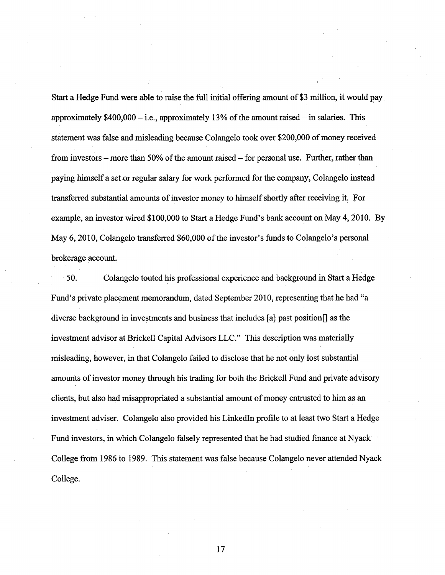Start a Hedge Fund were able to raise the full initial offering amount of \$3 million, it would pay. approximately  $$400,000 - i.e.,$  approximately 13% of the amount raised – in salaries. This statement was false and misleading because Colangelo took over \$200,000 of money received from investors – more than  $50\%$  of the amount raised – for personal use. Further, rather than paying himself a set or regular salary for work performed for the company, Colangelo instead transferred substantial amounts of investor money to himself shortly after receiving it. For example, an investor wired \$100,000 to Start a Hedge Fund's bank account on May 4, 2010. By May 6, 2010, Colangelo transferred \$60,000 of the investor's funds to Colangelo's personal brokerage account.

50. Colangelo touted his professional experience and background in Start a Hedge Fund's private placement memorandum, dated September 2010, representing that he had "a diverse background in investments and business that includes [a] past position[] as the investment advisor at Brickell Capital Advisors LLC." This description was materially misleading, however, in that Colangelo failed to disclose that he not only lost substantial amounts of investor money through his trading for both the Brickell Fund and private advisory clients, but also had misappropriated a substantial amount of money entrusted to him as an investment adviser. Colangelo also provided his Linkedln profile to at least two Start a Hedge Fund investors, in which Colangelo falsely represented that he had studied finance at Nyack College from 1986 to 1989. This statement was false because Colangelo never attended Nyack College.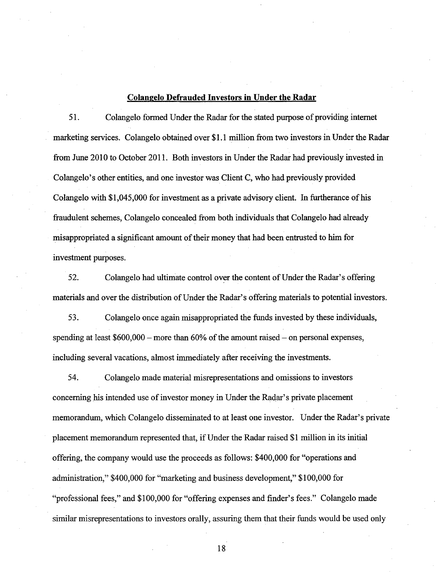#### **Colangelo Defrauded Investors in Under the Radar**

51. Colangelo formed Under the Radar for the stated purpose of providing internet marketing services. Colangelo obtained over \$1.1 million from two investors in Under the Radar from June 2010 to October 2011. Both investors in Under the Radar had previously invested in Colangelo's other entities, and one investor was Client C, who had previously provided Colangelo with \$1,045,000 for investment as a private advisory client. In furtherance ofhis fraudulent schemes, Colangelo concealed from both individuals that Colangelo had already misappropriated a significant amount of their money that had been entrusted to him for investment purposes.

52. Colangelo had ultimate control over the content of Under the Radar's offering materials and over the distribution of Under the Radar's offering materials to potential investors.

53. Colangelo once again misappropriated the funds invested by these individuals, spending at least  $$600,000$  – more than  $60\%$  of the amount raised – on personal expenses, including several vacations, almost immediately after receiving the investments.

54. Colangelo made material misrepresentations and omissions to investors concerning his intended use of investor money in Under the Radar's private placement memorandum, which Colangelo disseminated to at least one investor. Under the Radar's private placement memorandum represented that, ifUnder the Radar raised \$1 million in its initial offering, the company would use the proceeds as follows: \$400,000 for "operations and administration," \$400,000 for "marketing and business development," \$100,000 for "professional fees," and \$100,000 for "offering expenses and finder's fees." Colangelo made similar misrepresentations to investors orally, assuring them that their funds would be used only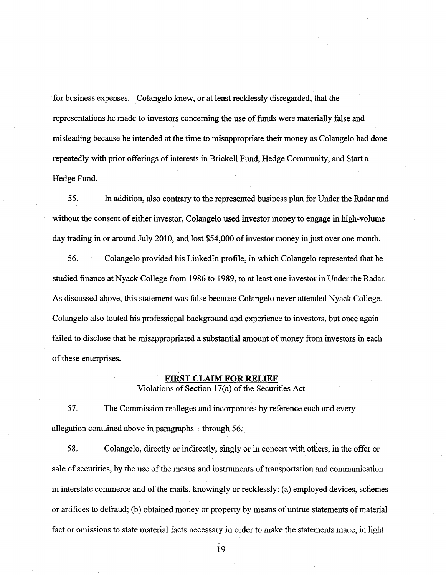for business expenses. Colangelo knew, or at least recklessly disregarded, that the representations he made to investors concerning the use of funds were materially false and misleading because he intended at the time to misappropriate their money as Colangelo had done repeatedly with prior offerings of interests in Brickell Fund, Hedge Community, and Start a Hedge Fund.

55. In addition, also contrary to the represented business plan for Under the Radar and without the consent of either investor, Colangelo used investor money to engage in high-volume day trading in or around July 2010, and lost \$54,000 of investor money in just over one month.

56. Colangelo provided his Linkedln profile, in which Colangelo represented that he studied finance at Nyack College from 1986 to 1989, to at least one investor in Under the Radar. As discussed above, this statement was false because Colangelo never attended Nyack College. Colangelo also touted his professional background and experience to investors, but once again failed to disclose that he misappropriated a substantial amount of money from investors in each of these enterprises.

#### **FIRST CLAIM FOR RELIEF**

Violations of Section  $17(a)$  of the Securities Act

57. The Commission realleges and incorporates by reference each and every allegation contained above in paragraphs 1 through 56.

58. Colangelo, directly or indirectly, singly or in concert with others, in the offer or sale of securities, by the use of the means and instruments of transportation and communication in interstate commerce and of the mails, knowingly or recklessly: (a) employed devices, schemes or artifices to defraud; (b) obtained money or property by means of untrue statements ofmaterial fact or omissions to state material facts necessary in order to make the statements made, in light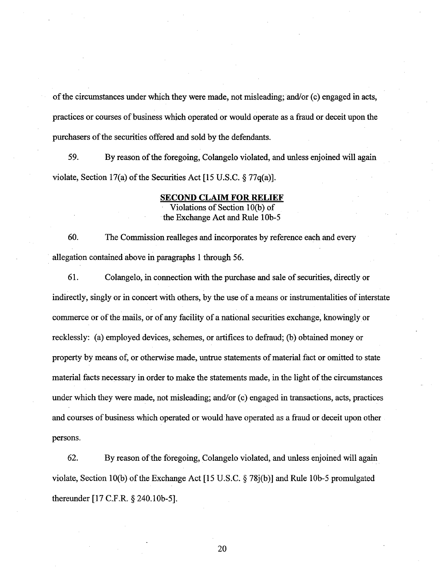of the circumstances under which they were made, not misleading; and/or (c) engaged in acts, practices or courses of business which operated or would operate as a fraud or deceit upon the purchasers of the securities offered and sold by the defendants.

59. By reason ofthe foregoing, Colangelo violated, and unless enjoined will again violate, Section 17(a) of the Securities Act [15 U.S.C.  $\S 77q(a)$ ].

#### **SECOND CLAIM FOR RELIEF**

Violations of Section 1 O(b) of the Exchange Act and Rule 10b-5

60. The Commission realleges and incorporates by reference each and every allegation contained above in paragraphs 1 through 56.

61. Colangelo, in connection with the purchase and sale of securities, directly or indirectly, singly or in concert with others, by the use of a means or instrumentalities of interstate commerce or of the mails, or of any facility of a national securities exchange, knowingly or recklessly: (a) employed devices, schemes, or artifices to defraud; (b) obtained money or property by means of, or otherwise made, untrue statements of material fact or omitted to state material facts necessary in order to make the statements made, in the light of the circumstances under which they were made, not misleading; and/or (c) engaged in transactions, acts, practices and courses of business which operated or would have operated as a fraud or deceit upon other persons.

62. By reason of the foregoing, Colangelo violated, and unless enjoined will again violate, Section 10(b) of the Exchange Act [15 U.S.C.  $\S 78j(b)$ ] and Rule 10b-5 promulgated thereunder [ 17 C.F .R. § 240.1 Ob-5].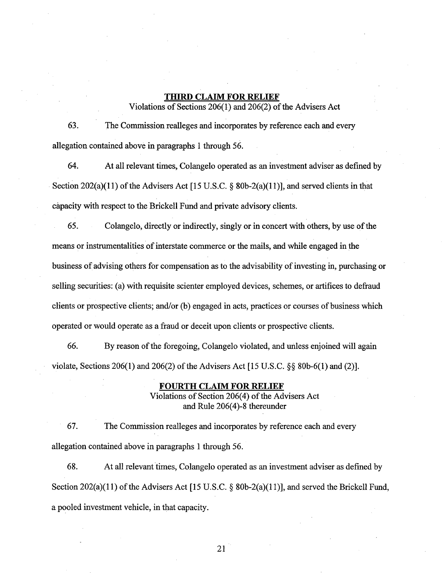# **THIRD CLAIM FOR RELIEF**

Violations of Sections  $206(1)$  and  $206(2)$  of the Advisers Act

63. The Commission realleges and incorporates by reference each and every allegation contained above in paragraphs 1 through 56.

64. At all relevant times, Colangelo operated as an investment adviser as defined by Section 202(a)(11) of the Advisers Act [15 U.S.C.  $\S$  80b-2(a)(11)], and served clients in that capacity with respect to the Brickell Fund and private advisory clients.

65. Colangelo, directly or indirectly, singly or in concert with others, by use of the means or instrumentalities of interstate commerce or the mails, and while engaged in the business of advising others for compensation as to the advisability of investing in, purchasing or selling securities: (a) with requisite scienter employed devices, schemes, or artifices to defraud clients or prospective clients; and/or (b) engaged in acts, practices or courses of business which operated or would operate as a fraud or deceit upon clients or prospective clients.

66. By reason of the foregoing, Colangelo violated, and unless enjoined will again violate, Sections 206(1) and 206(2) of the Advisers Act [15 U.S.C.  $\S$ § 80b-6(1) and (2)].

#### **FOURTH CLAIM FOR RELIEF**

Violations of Section 206(4) of the Advisers Act and Rule 206(4)-8 thereunder

67. The Commission realleges and incorporates by reference each and every allegation contained above in paragraphs 1 through 56.

68. At all relevant times, Colangelo operated as an investment adviser as defined by Section 202(a)(11) of the Advisers Act [15 U.S.C. § 80b-2(a)(11)], and served the Brickell Fund, a pooled investment vehicle, in that capacity.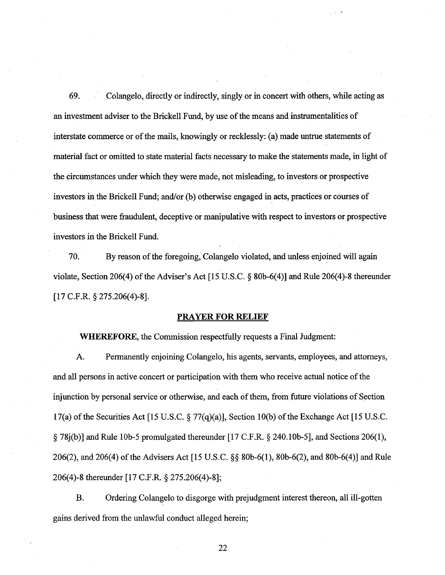69. Colangelo, directly or indirectly, singly or in concert with others, while acting as an investment adviser to the Brickell Fund, by use ofthe means and instrumentalities of interstate commerce or of the mails, knowingly or recklessly: (a) made untrue statements of material fact or omitted to state material facts necessary to make the statements made, in light of the circumstances under which they were made, not misleading, to investors or prospective investors in the Brickell Fund; and/or (b) otherwise engaged in acts, practices or courses of business thatwere fraudulent, deceptive or manipulative with respect to investors or prospective investors in the Brickell Fund.

70. By reason of the foregoing, Colangelo violated, and unless enjoined will again violate, Section 206(4) of the Adviser's Act [15 U.S.C. § 80b-6(4)] and Rule 206(4)-8 thereunder [17 C.F.R. *§* 275.206(4)-8].

## **PRAYER FOR RELIEF**

**WHEREFORE,** the Commission respectfully requests a Final Judgment:

A. Permanently enjoining Colangelo, his agents, servants, employees, and attorneys, and all persons in active concert or participation with them who receive actual notice of the injunction by personal service or otherwise, and each of them, from future violations of Section 17(a) ofthe Securities Act [15 U.S.C. *§* 77(q)(a)], Section lO(b) ofthe Exchange Act [15 U.S.C.  $\S$  78 $j(b)$ ] and Rule 10b-5 promulgated thereunder [17 C.F.R.  $\S$  240.10b-5], and Sections 206(1), 206(2), and 206(4) of the Advisers Act [15 U.S.C. §§ 80b-6(1), 80b-6(2), and 80b-6(4)] and Rule 206(4)-8 thereunder [17 C.F.R. § 275.206(4)-8];

B. Ordering Colangelo to disgorge with prejudgment interest thereon, all ill-gotten gains derived from the unlawful conduct alleged herein;